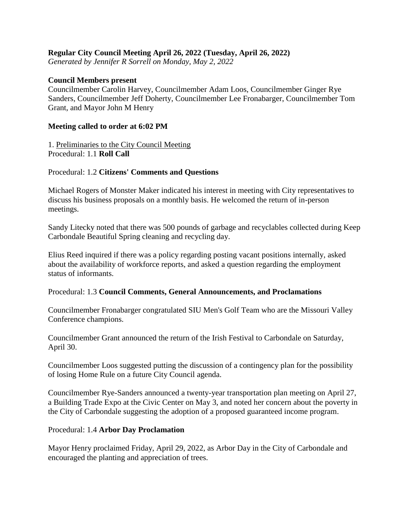## **Regular City Council Meeting April 26, 2022 (Tuesday, April 26, 2022)**

*Generated by Jennifer R Sorrell on Monday, May 2, 2022*

### **Council Members present**

Councilmember Carolin Harvey, Councilmember Adam Loos, Councilmember Ginger Rye Sanders, Councilmember Jeff Doherty, Councilmember Lee Fronabarger, Councilmember Tom Grant, and Mayor John M Henry

#### **Meeting called to order at 6:02 PM**

1. Preliminaries to the City Council Meeting Procedural: 1.1 **Roll Call**

### Procedural: 1.2 **Citizens' Comments and Questions**

Michael Rogers of Monster Maker indicated his interest in meeting with City representatives to discuss his business proposals on a monthly basis. He welcomed the return of in-person meetings.

Sandy Litecky noted that there was 500 pounds of garbage and recyclables collected during Keep Carbondale Beautiful Spring cleaning and recycling day.

Elius Reed inquired if there was a policy regarding posting vacant positions internally, asked about the availability of workforce reports, and asked a question regarding the employment status of informants.

#### Procedural: 1.3 **Council Comments, General Announcements, and Proclamations**

Councilmember Fronabarger congratulated SIU Men's Golf Team who are the Missouri Valley Conference champions.

Councilmember Grant announced the return of the Irish Festival to Carbondale on Saturday, April 30.

Councilmember Loos suggested putting the discussion of a contingency plan for the possibility of losing Home Rule on a future City Council agenda.

Councilmember Rye-Sanders announced a twenty-year transportation plan meeting on April 27, a Building Trade Expo at the Civic Center on May 3, and noted her concern about the poverty in the City of Carbondale suggesting the adoption of a proposed guaranteed income program.

### Procedural: 1.4 **Arbor Day Proclamation**

Mayor Henry proclaimed Friday, April 29, 2022, as Arbor Day in the City of Carbondale and encouraged the planting and appreciation of trees.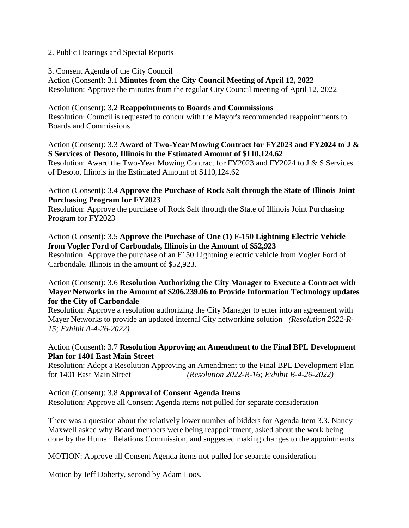## 2. Public Hearings and Special Reports

### 3. Consent Agenda of the City Council

Action (Consent): 3.1 **Minutes from the City Council Meeting of April 12, 2022** Resolution: Approve the minutes from the regular City Council meeting of April 12, 2022

### Action (Consent): 3.2 **Reappointments to Boards and Commissions**

Resolution: Council is requested to concur with the Mayor's recommended reappointments to Boards and Commissions

## Action (Consent): 3.3 **Award of Two-Year Mowing Contract for FY2023 and FY2024 to J & S Services of Desoto, Illinois in the Estimated Amount of \$110,124.62**

Resolution: Award the Two-Year Mowing Contract for FY2023 and FY2024 to J & S Services of Desoto, Illinois in the Estimated Amount of \$110,124.62

## Action (Consent): 3.4 **Approve the Purchase of Rock Salt through the State of Illinois Joint Purchasing Program for FY2023**

Resolution: Approve the purchase of Rock Salt through the State of Illinois Joint Purchasing Program for FY2023

## Action (Consent): 3.5 **Approve the Purchase of One (1) F-150 Lightning Electric Vehicle from Vogler Ford of Carbondale, Illinois in the Amount of \$52,923**

Resolution: Approve the purchase of an F150 Lightning electric vehicle from Vogler Ford of Carbondale, Illinois in the amount of \$52,923.

# Action (Consent): 3.6 **Resolution Authorizing the City Manager to Execute a Contract with Mayer Networks in the Amount of \$206,239.06 to Provide Information Technology updates for the City of Carbondale**

Resolution: Approve a resolution authorizing the City Manager to enter into an agreement with Mayer Networks to provide an updated internal City networking solution *(Resolution 2022-R-15; Exhibit A-4-26-2022)*

# Action (Consent): 3.7 **Resolution Approving an Amendment to the Final BPL Development Plan for 1401 East Main Street**

Resolution: Adopt a Resolution Approving an Amendment to the Final BPL Development Plan for 1401 East Main Street *(Resolution 2022-R-16; Exhibit B-4-26-2022)*

Action (Consent): 3.8 **Approval of Consent Agenda Items** Resolution: Approve all Consent Agenda items not pulled for separate consideration

There was a question about the relatively lower number of bidders for Agenda Item 3.3. Nancy Maxwell asked why Board members were being reappointment, asked about the work being done by the Human Relations Commission, and suggested making changes to the appointments.

MOTION: Approve all Consent Agenda items not pulled for separate consideration

Motion by Jeff Doherty, second by Adam Loos.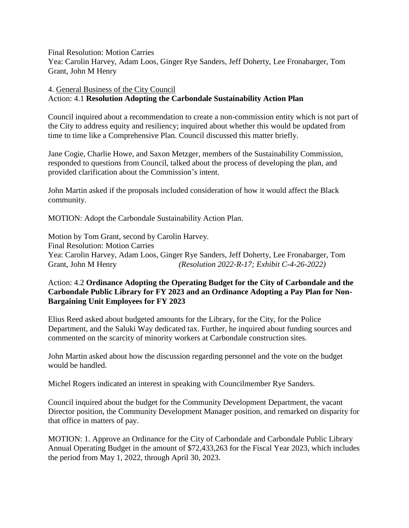Final Resolution: Motion Carries

Yea: Carolin Harvey, Adam Loos, Ginger Rye Sanders, Jeff Doherty, Lee Fronabarger, Tom Grant, John M Henry

## 4. General Business of the City Council Action: 4.1 **Resolution Adopting the Carbondale Sustainability Action Plan**

Council inquired about a recommendation to create a non-commission entity which is not part of the City to address equity and resiliency; inquired about whether this would be updated from time to time like a Comprehensive Plan. Council discussed this matter briefly.

Jane Cogie, Charlie Howe, and Saxon Metzger, members of the Sustainability Commission, responded to questions from Council, talked about the process of developing the plan, and provided clarification about the Commission's intent.

John Martin asked if the proposals included consideration of how it would affect the Black community.

MOTION: Adopt the Carbondale Sustainability Action Plan.

Motion by Tom Grant, second by Carolin Harvey. Final Resolution: Motion Carries Yea: Carolin Harvey, Adam Loos, Ginger Rye Sanders, Jeff Doherty, Lee Fronabarger, Tom Grant, John M Henry *(Resolution 2022-R-17; Exhibit C-4-26-2022)*

# Action: 4.2 **Ordinance Adopting the Operating Budget for the City of Carbondale and the Carbondale Public Library for FY 2023 and an Ordinance Adopting a Pay Plan for Non-Bargaining Unit Employees for FY 2023**

Elius Reed asked about budgeted amounts for the Library, for the City, for the Police Department, and the Saluki Way dedicated tax. Further, he inquired about funding sources and commented on the scarcity of minority workers at Carbondale construction sites.

John Martin asked about how the discussion regarding personnel and the vote on the budget would be handled.

Michel Rogers indicated an interest in speaking with Councilmember Rye Sanders.

Council inquired about the budget for the Community Development Department, the vacant Director position, the Community Development Manager position, and remarked on disparity for that office in matters of pay.

MOTION: 1. Approve an Ordinance for the City of Carbondale and Carbondale Public Library Annual Operating Budget in the amount of \$72,433,263 for the Fiscal Year 2023, which includes the period from May 1, 2022, through April 30, 2023.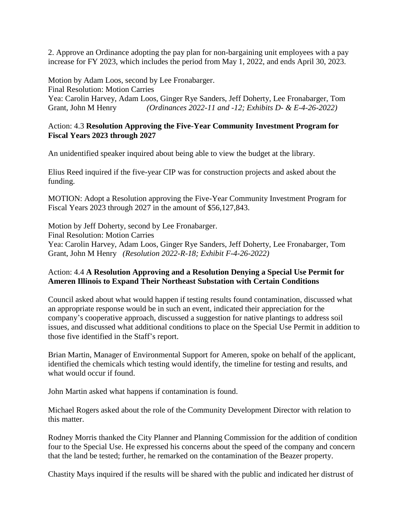2. Approve an Ordinance adopting the pay plan for non-bargaining unit employees with a pay increase for FY 2023, which includes the period from May 1, 2022, and ends April 30, 2023.

Motion by Adam Loos, second by Lee Fronabarger. Final Resolution: Motion Carries Yea: Carolin Harvey, Adam Loos, Ginger Rye Sanders, Jeff Doherty, Lee Fronabarger, Tom Grant, John M Henry *(Ordinances 2022-11 and -12; Exhibits D- & E-4-26-2022)*

### Action: 4.3 **Resolution Approving the Five-Year Community Investment Program for Fiscal Years 2023 through 2027**

An unidentified speaker inquired about being able to view the budget at the library.

Elius Reed inquired if the five-year CIP was for construction projects and asked about the funding.

MOTION: Adopt a Resolution approving the Five-Year Community Investment Program for Fiscal Years 2023 through 2027 in the amount of \$56,127,843.

Motion by Jeff Doherty, second by Lee Fronabarger. Final Resolution: Motion Carries Yea: Carolin Harvey, Adam Loos, Ginger Rye Sanders, Jeff Doherty, Lee Fronabarger, Tom Grant, John M Henry *(Resolution 2022-R-18; Exhibit F-4-26-2022)*

# Action: 4.4 **A Resolution Approving and a Resolution Denying a Special Use Permit for Ameren Illinois to Expand Their Northeast Substation with Certain Conditions**

Council asked about what would happen if testing results found contamination, discussed what an appropriate response would be in such an event, indicated their appreciation for the company's cooperative approach, discussed a suggestion for native plantings to address soil issues, and discussed what additional conditions to place on the Special Use Permit in addition to those five identified in the Staff's report.

Brian Martin, Manager of Environmental Support for Ameren, spoke on behalf of the applicant, identified the chemicals which testing would identify, the timeline for testing and results, and what would occur if found.

John Martin asked what happens if contamination is found.

Michael Rogers asked about the role of the Community Development Director with relation to this matter.

Rodney Morris thanked the City Planner and Planning Commission for the addition of condition four to the Special Use. He expressed his concerns about the speed of the company and concern that the land be tested; further, he remarked on the contamination of the Beazer property.

Chastity Mays inquired if the results will be shared with the public and indicated her distrust of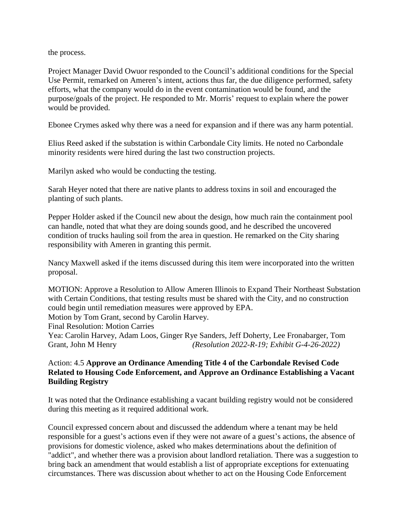the process.

Project Manager David Owuor responded to the Council's additional conditions for the Special Use Permit, remarked on Ameren's intent, actions thus far, the due diligence performed, safety efforts, what the company would do in the event contamination would be found, and the purpose/goals of the project. He responded to Mr. Morris' request to explain where the power would be provided.

Ebonee Crymes asked why there was a need for expansion and if there was any harm potential.

Elius Reed asked if the substation is within Carbondale City limits. He noted no Carbondale minority residents were hired during the last two construction projects.

Marilyn asked who would be conducting the testing.

Sarah Heyer noted that there are native plants to address toxins in soil and encouraged the planting of such plants.

Pepper Holder asked if the Council new about the design, how much rain the containment pool can handle, noted that what they are doing sounds good, and he described the uncovered condition of trucks hauling soil from the area in question. He remarked on the City sharing responsibility with Ameren in granting this permit.

Nancy Maxwell asked if the items discussed during this item were incorporated into the written proposal.

MOTION: Approve a Resolution to Allow Ameren Illinois to Expand Their Northeast Substation with Certain Conditions, that testing results must be shared with the City, and no construction could begin until remediation measures were approved by EPA. Motion by Tom Grant, second by Carolin Harvey. Final Resolution: Motion Carries Yea: Carolin Harvey, Adam Loos, Ginger Rye Sanders, Jeff Doherty, Lee Fronabarger, Tom Grant, John M Henry *(Resolution 2022-R-19; Exhibit G-4-26-2022)*

# Action: 4.5 **Approve an Ordinance Amending Title 4 of the Carbondale Revised Code Related to Housing Code Enforcement, and Approve an Ordinance Establishing a Vacant Building Registry**

It was noted that the Ordinance establishing a vacant building registry would not be considered during this meeting as it required additional work.

Council expressed concern about and discussed the addendum where a tenant may be held responsible for a guest's actions even if they were not aware of a guest's actions, the absence of provisions for domestic violence, asked who makes determinations about the definition of "addict", and whether there was a provision about landlord retaliation. There was a suggestion to bring back an amendment that would establish a list of appropriate exceptions for extenuating circumstances. There was discussion about whether to act on the Housing Code Enforcement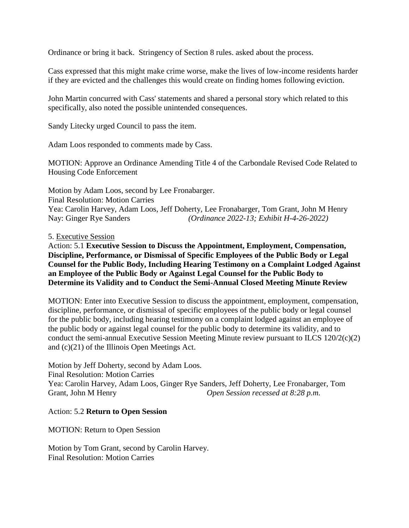Ordinance or bring it back. Stringency of Section 8 rules. asked about the process.

Cass expressed that this might make crime worse, make the lives of low-income residents harder if they are evicted and the challenges this would create on finding homes following eviction.

John Martin concurred with Cass' statements and shared a personal story which related to this specifically, also noted the possible unintended consequences.

Sandy Litecky urged Council to pass the item.

Adam Loos responded to comments made by Cass.

MOTION: Approve an Ordinance Amending Title 4 of the Carbondale Revised Code Related to Housing Code Enforcement

Motion by Adam Loos, second by Lee Fronabarger. Final Resolution: Motion Carries Yea: Carolin Harvey, Adam Loos, Jeff Doherty, Lee Fronabarger, Tom Grant, John M Henry Nay: Ginger Rye Sanders *(Ordinance 2022-13; Exhibit H-4-26-2022)*

#### 5. Executive Session

Action: 5.1 **Executive Session to Discuss the Appointment, Employment, Compensation, Discipline, Performance, or Dismissal of Specific Employees of the Public Body or Legal Counsel for the Public Body, Including Hearing Testimony on a Complaint Lodged Against an Employee of the Public Body or Against Legal Counsel for the Public Body to Determine its Validity and to Conduct the Semi-Annual Closed Meeting Minute Review**

MOTION: Enter into Executive Session to discuss the appointment, employment, compensation, discipline, performance, or dismissal of specific employees of the public body or legal counsel for the public body, including hearing testimony on a complaint lodged against an employee of the public body or against legal counsel for the public body to determine its validity, and to conduct the semi-annual Executive Session Meeting Minute review pursuant to ILCS 120/2(c)(2) and (c)(21) of the Illinois Open Meetings Act.

Motion by Jeff Doherty, second by Adam Loos. Final Resolution: Motion Carries Yea: Carolin Harvey, Adam Loos, Ginger Rye Sanders, Jeff Doherty, Lee Fronabarger, Tom Grant, John M Henry *Open Session recessed at 8:28 p.m.*

### Action: 5.2 **Return to Open Session**

MOTION: Return to Open Session

Motion by Tom Grant, second by Carolin Harvey. Final Resolution: Motion Carries